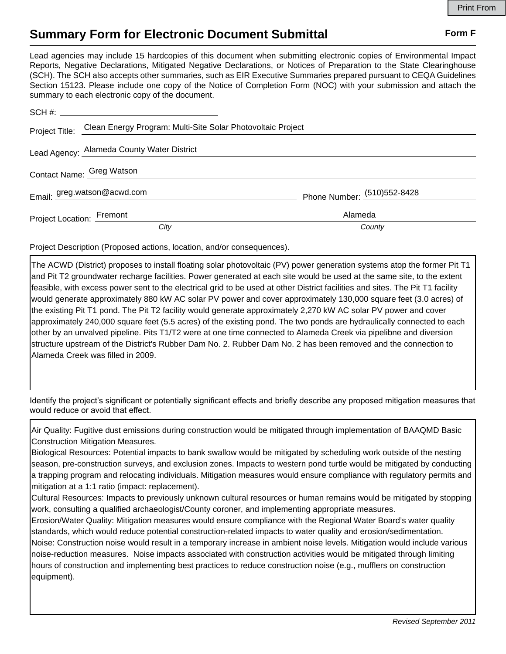## **Summary Form for Electronic Document Submittal Form F Form F**

Lead agencies may include 15 hardcopies of this document when submitting electronic copies of Environmental Impact Reports, Negative Declarations, Mitigated Negative Declarations, or Notices of Preparation to the State Clearinghouse (SCH). The SCH also accepts other summaries, such as EIR Executive Summaries prepared pursuant to CEQA Guidelines Section 15123. Please include one copy of the Notice of Completion Form (NOC) with your submission and attach the summary to each electronic copy of the document.

|                           | Project Title: Clean Energy Program: Multi-Site Solar Photovoltaic Project |                             |
|---------------------------|----------------------------------------------------------------------------|-----------------------------|
|                           | Lead Agency: Alameda County Water District                                 |                             |
| Contact Name: Greg Watson |                                                                            |                             |
|                           | Email: greg.watson@acwd.com                                                | Phone Number: (510)552-8428 |
| Project Location: Fremont |                                                                            | Alameda                     |
|                           | City                                                                       | County                      |

Project Description (Proposed actions, location, and/or consequences).

The ACWD (District) proposes to install floating solar photovoltaic (PV) power generation systems atop the former Pit T1 and Pit T2 groundwater recharge facilities. Power generated at each site would be used at the same site, to the extent feasible, with excess power sent to the electrical grid to be used at other District facilities and sites. The Pit T1 facility would generate approximately 880 kW AC solar PV power and cover approximately 130,000 square feet (3.0 acres) of the existing Pit T1 pond. The Pit T2 facility would generate approximately 2,270 kW AC solar PV power and cover approximately 240,000 square feet (5.5 acres) of the existing pond. The two ponds are hydraulically connected to each other by an unvalved pipeline. Pits T1/T2 were at one time connected to Alameda Creek via pipelibne and diversion structure upstream of the District's Rubber Dam No. 2. Rubber Dam No. 2 has been removed and the connection to Alameda Creek was filled in 2009.

Identify the project's significant or potentially significant effects and briefly describe any proposed mitigation measures that would reduce or avoid that effect.

Air Quality: Fugitive dust emissions during construction would be mitigated through implementation of BAAQMD Basic Construction Mitigation Measures.

Biological Resources: Potential impacts to bank swallow would be mitigated by scheduling work outside of the nesting season, pre-construction surveys, and exclusion zones. Impacts to western pond turtle would be mitigated by conducting a trapping program and relocating individuals. Mitigation measures would ensure compliance with regulatory permits and mitigation at a 1:1 ratio (impact: replacement).

Cultural Resources: Impacts to previously unknown cultural resources or human remains would be mitigated by stopping work, consulting a qualified archaeologist/County coroner, and implementing appropriate measures.

Erosion/Water Quality: Mitigation measures would ensure compliance with the Regional Water Board's water quality standards, which would reduce potential construction-related impacts to water quality and erosion/sedimentation. Noise: Construction noise would result in a temporary increase in ambient noise levels. Mitigation would include various noise-reduction measures. Noise impacts associated with construction activities would be mitigated through limiting hours of construction and implementing best practices to reduce construction noise (e.g., mufflers on construction equipment).